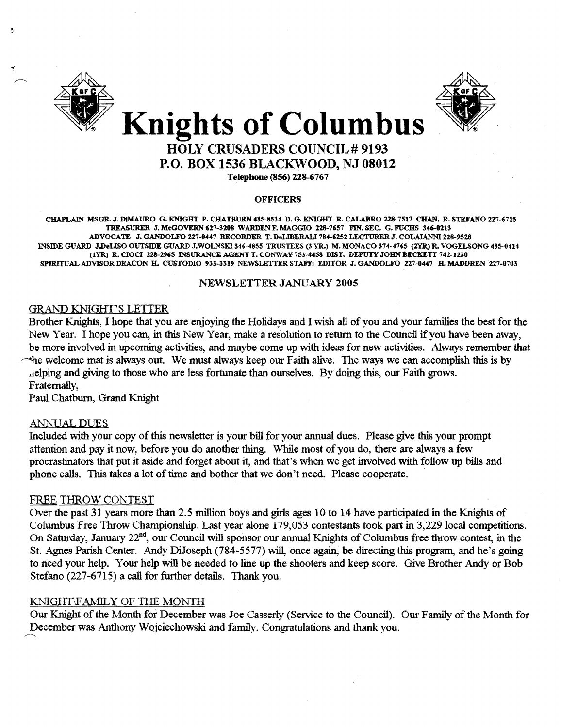

-9



### HOLY CRUSADERS COUNCIL # 9193 P.O. BOX 1536 BLACKWOOD, NJ 08012

Telephone (856) 228-6767

#### **OFFICERS**

CHAPLAIN MSGR. J. DIMAURO G. KNIGHT P. CHATBURN 435-8534 D. G. KNIGHT R. CALABRO 228-7517 CHAN. R. STEFANO 227-6715 TREASURER J. McGOVERN 627-3208 WARDEN F. MAGGIO 228-7657 FIN. SEC. G. FUCHS 346-0213 ADVOCATE J. GANDOLFO 227-0447 RECORDER T. DeLIBERALI 784-6252 LECTURER J. COLAIANNI 228-9528 INSIDE GUARD J.DeUSO OUTSIDE GUARD J.WOLNSKI 346-4855 TRUSTEES (3 YR.) M. MONACO 374-4765 (2YR) R. VOGELSONG 435-0414 (1YR) R. CIOCI 228-2965 INSURANCE AGENT T. CONWAY 753-4458 DIST. DEPUTY JOHN BECKETT 742-1230 SPIRITUAL ADVISOR DEACON H. CUSTODIO 933-3319 NEWSLETTER STAFF: EDITOR J. GANDOLFO 227-0447 H. MADDREN 227-0703

#### NEWSLETTER JANUARY 2005

#### GRAND KNIGHf'S LETTER

Brother Knights, I hope that you are enjoying the Holidays and I wish all of you and your families the best for the New Year. I hope you can, in this New Year, make a resolution to return to the Council if you have been away, be more involved in upcoming activities, and maybe come up with ideas for new activities. Always remember that ~e welcome mat is always out. We must always keep our Faith alive. The ways we can accomplish this is by ~lelping and giving to those who are less fortunate than ourselves. By doing this, our Faith grows. Fraternally,

Paul Chatburn, Grand Knight

#### ANNUAL DUES

Included with your copy ofthis newsletter is your bill for your annual dues. Please give this your prompt attention and pay it now, before you do another thing. While most of you do, there are always a few procrastinators that put it aside and forget about it, and that's when we get involved with follow up bills and phone calls. This takes a lot of time and bother that we don't need. Please cooperate.

#### FREE THROW CONTEST

FREE THROW CONTEST<br>Over the past 31 years more than 2.5 million boys and girls ages 10 to 14 have participated in the Knights of Columbus Free Throw Championship. Last year alone 179,053 contestants took part in 3,229 local competitions. On Saturday, January 22nd, our Council will sponsor our annual Knights of Columbus free throw contest, in the St. Agnes Parish Center. Andy DiJoseph (784-5577) will, once again, be directing this program, and he's going to need your help. Your help will be needed to line up the shooters and keep score. Give Brother Andy or Bob Stefano (227-6715) a call for further details. Thank you.

#### KNIGHT\FAMILY OF THE MONTH

Our Knight of the Month for December was Joe Casserly (Service to the Council). Ow.' Family ofthe Month for December was Anthony Wojciechowski and family. Congratulations and thank you.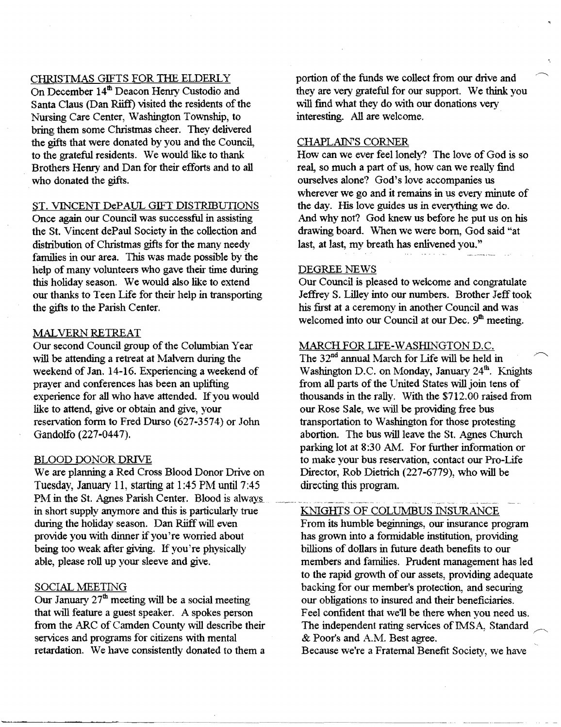#### CHRlSTMAS GIFTS FOR THE ELDERLY

On December 14<sup>th</sup> Deacon Henry Custodio and Santa Claus (Dan Riiff) visited the residents of the Nursing Care Center, Washington Township, to bring them some Christmas cheer. They delivered the gifts that were donated by you and the Council, to the grateful residents. We would like to thank Brothers Henry and Dan for their efforts and to all who donated the gifts.

#### ST. VINCENT DePAUL GIFT DISTRIBUTIONS

Once again our Council was successful in assisting the St. Vincent dePaul Society in the collection and distribution of Christmas gifts for the many needy families in our area. This was made possible by the help of many volunteers who gave their time during this holiday season. We would also like to extend our thanks to Teen Life for their help in transporting the gifts to the Parish Center.

#### MALVERN RETREAT

Our second Council group of the Columbian Year will be attending a retreat at Malvern during the weekend of Jan. 14-16. Experiencing a weekend of prayer and conferences has been an uplifting experience for all who have attended. If you would like to attend, give or obtain and give, your reservation fonn to Fred Durso (627-3574) or John Gandolfo (227-0447).

#### BLOOD DONOR DRIVE

We are planning a Red Cross Blood Donor Drive on Tuesday, January 11, starting at 1:45 PM until 7:45 PM in the St. Agnes Parish Center. Blood is always. in short supply anymore and this is particularly true during the holiday season. Dan Riiff will even provide you with dinner if you're worried about being too weak after giving. If you're physically able, please roll up your sleeve and give.

#### SOCIAL MEETING

Our January  $27<sup>th</sup>$  meeting will be a social meeting that will feature a guest speaker. A spokes person from the ARC of Camden County will describe their services and programs for citizens with mental retardation. We have consistently donated to them a

portion of the funds we collect from our drive and they are very grateful for our support. We think you will find what they do with our donations very interesting. All are welcome.

#### CHAPLAIN'S CORNER

How can we ever feel lonely? The love of God is so real, so much a part of us, how can we really find ourselves alone? God's love accompanies us wherever we go and it remains in us every minute of the day. His love guides us in everything we do. And why not? God knew us before he put us on his drawing board. When we were born, God said "at last, at last, my breath has enlivened you."

#### DEGREE NEWS

~~---....... --~ ..--.........-----.........-----

Our Council is pleased to welcome and congratulate Jeffrey S. Lilley into our numbers. Brother Jeff took his first at a ceremony in another Council and was welcomed into our Council at our Dec.  $9<sup>th</sup>$  meeting.

#### MARCH FOR LIFE-WASHINGTON D.C.

The 32<sup>nd</sup> annual March for Life will be held in Washington D.C. on Monday, January 24<sup>th</sup>. Knights from all parts of the United States will join tens of thousands in the rally. With the \$712.00 raised from our Rose Sale, we will be providing free bus transportation to Washington for those protesting abortion. The bus will leave the St. Agnes Church parking lot at 8:30 AM. For further information or to make your bus reservation, contact our Pro-Life Director, Rob Dietrich (227-6779), who will be directing this program.

#### KNIGHTS OF COLUMBUS INSURANCE

From its humble beginnings, our insurance program has grown into a formidable institution, providing billions of dollars in future death benefits to our members and families. Prudent management has led to the rapid growth of our assets, providing adequate backing for our member's protection, and securing our obligations to insured and their beneficiaries. Feel confident that we'll be there when you need us. The independent rating services of IMSA, Standard & Poor's and A.M. Best agree.

Because we're a Fraternal Benefit Society, we have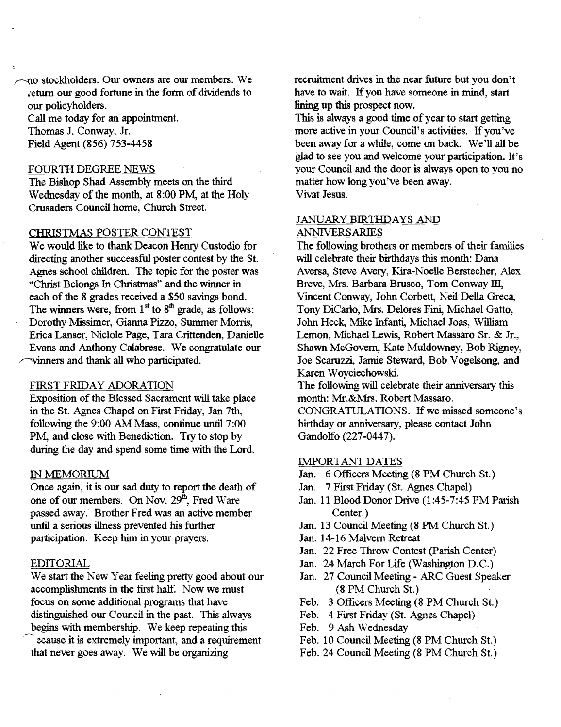-no stockholders. Our owners are our members. We return our good fortune in the form of dividends to our policyholders.

Call me today for an appointment. Thomas J. Conway, Jr.

Field Agent (856) 753-4458

#### FOURTII DEGREE NEWS

The Bishop Shad Assembly meets on the third Wednesday of the month, at 8:00 PM, at the Holy Crusaders Council home, Church Street.

#### CHRISTMAS POSTER CONTEST

We would like to thank Deacon Henry Custodio for directing another successful poster contest by the St. Agnes school children. The topic for the poster was "Christ Belongs In Christmas" and the winner in each of the 8 grades received a \$50 savings bond. The winners were, from  $1<sup>st</sup>$  to  $8<sup>th</sup>$  grade, as follows: Dorothy Missimer, Gianna Pizzo, Summer Morris, Erica Lanser, Niclole Page, Tara Crittenden, Danielle Evans and Anthony Calabrese. We congratulate our winners and thank all who participated.

#### FIRST FRIDAY ADORATION

Exposition of the Blessed Sacrament will take place in the St. Agnes Chapel on First Friday, Jan 7th, following the 9:00 AM Mass, continue until 7:00 PM, and close with Benediction. Try to stop by during the day and spend some time with the Lord.

#### IN MEMORIUM

Once again, it is our sad duty to report the death of one of our members. On Nov. 29<sup>th</sup>, Fred Ware passed away. Brother Fred was an active member until a serious illness prevented his further participation. Keep him in your prayers.

#### EDITORlAL

We start the New Year feeling pretty good about our accomplishments in the first half. Now we must focus on some additional programs that have distinguished our Council in the past. This always begins with membership. We keep repeating this ecause it is extremely important, and a requirement

that never goes away. We will be organizing

recruitment drives in the near future but you don't have to wait. If you have someone in mind, start lining up this prospect now.

This is always a good time of year to start getting more active in your Council's activities. If you've been away for a while, come on back. We'll all be glad to see you and welcome your participation. It's your Council and the door is always open to you no matter how long you've been away. Vivat Jesus.

#### JANUARY BIRTHDAYS AND ANNIVERSARIES

The following brothers or members of their families will celebrate their birthdays this month: Dana Aversa, Steve Avery, Kira-Noelle Berstecher, Alex Breve, Mrs. Barbara Brusco, Tom Conway III, Vincent Conway, Jolm Corbett, Neil Della Greca, Tony DiCarlo, Mrs. Delores Fini, Michael Gatto, Jolm Heck, Mike Infanti, Michael Joas, William Lemon, Michael Lewis, Robert Massaro Sr. & Jr., Shawn McGovern, Kate Muldowney, Bob Rigney, Joe Scaruzzi, Jamie Steward, Bob Vogelsong, and Karen Woyciechowski.

The following will celebrate their anniversary this month: Mr.&Mrs. Robert Massaro.

CONGRATULATIONS. If we missed someone's birthday or anniversary, please contact John Gandolfo (227-0447).

#### **IMPORTANT DATES**

- Jan. 6 Officers Meeting (8 PM Church St.)
- Jan. 7 First Friday (St. Agnes Chapel)
- Jan. 11 Blood Donor Drive (1:45-7:45 PM Parish Center.)
- Jan. 13 Council Meeting (8 PM Church St.)
- Jan. 14-16 Malvern Retreat
- Jan. 22 Free Throw Contest (parish Center)
- Jan. 24 March For Life (Washington D.C.)
- Jan. 27 Council Meeting ARC Guest Speaker (8 PM Church St.)
- Feb. 3 Officers Meeting (8 PM Church St.)
- Feb. 4 First Friday (St. Agnes Chapel)
- Feb. 9 Ash Wednesday
- Feb. 10 Council Meeting (8 PM Church St.)
- Feb. 24 Council Meeting (8 PM Church St.)